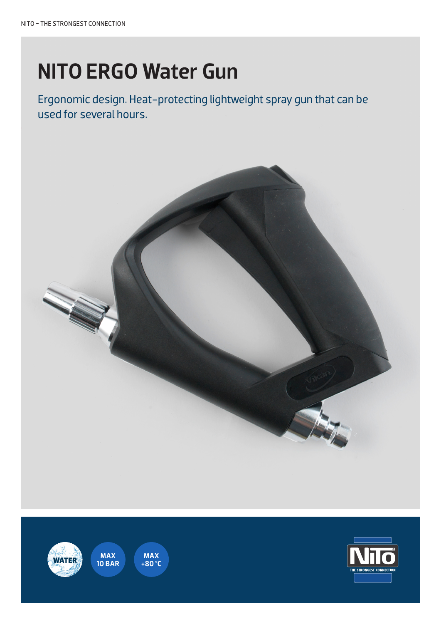# NITO ERGO Water Gun

Ergonomic design. Heat-protecting lightweight spray gun that can be used for several hours.







 $\frac{1}{2}$